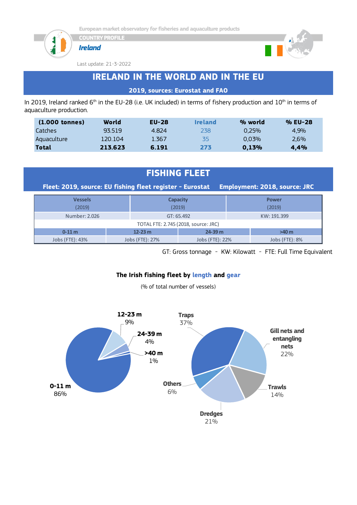





Last update: 21-3-2022

# **IRELAND IN THE WORLD AND IN THE EU**

#### **2019, sources: Eurostat and FAO**

In 2019, Ireland ranked  $6<sup>th</sup>$  in the EU-28 (i.e. UK included) in terms of fishery production and  $10<sup>th</sup>$  in terms of aquaculture production.

| $(1.000$ tonnes) | World   | $EU-28$ | <b>Ireland</b> | % world | % EU-28 |
|------------------|---------|---------|----------------|---------|---------|
| Catches          | 93519   | 4.824   | 238            | 0.25%   | 4.9%    |
| Aquaculture      | 120.104 | 1.367   | 35             | 0.03%   | $2.6\%$ |
| Total            | 213.623 | 6.191   | 273            | 0.13%   | 4.4%    |

### **FISHING FLEET**

**Fleet: 2019, source: EU fishing fleet register - Eurostat Employment: 2018, source: JRC**

| <b>Vessels</b><br>(2019)             |                 | <b>Capacity</b><br>(2019) | <b>Power</b><br>(2019) |  |  |  |  |
|--------------------------------------|-----------------|---------------------------|------------------------|--|--|--|--|
| Number: 2.026                        |                 | GT: 65.492                | KW: 191.399            |  |  |  |  |
| TOTAL FTE: 2.745 (2018, source: JRC) |                 |                           |                        |  |  |  |  |
| $0 - 11$ m                           | $12 - 23$ m     | $24 - 39$ m               | $>40$ m                |  |  |  |  |
| Jobs (FTE): 43%                      | Jobs (FTE): 27% | Jobs (FTE): 22%           | Jobs (FTE): 8%         |  |  |  |  |

GT: Gross tonnage - KW: Kilowatt - FTE: Full Time Equivalent

#### **The Irish fishing fleet by length and gear**

(% of total number of vessels)

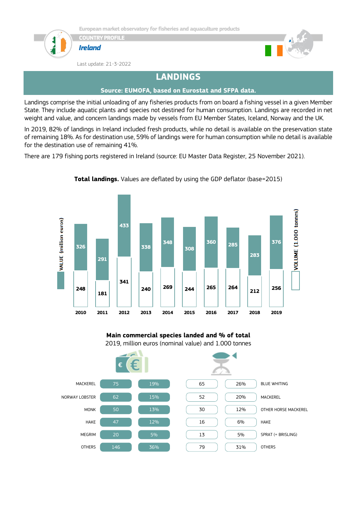

**COUNTRY PROFILE**





Last update: 21-3-2022

# **LANDINGS**

#### **Source: EUMOFA, based on Eurostat and SFPA data.**

Landings comprise the initial unloading of any fisheries products from on board a fishing vessel in a given Member State. They include aquatic plants and species not destined for human consumption. Landings are recorded in net weight and value, and concern landings made by vessels from EU Member States, Iceland, Norway and the UK.

In 2019, 82% of landings in Ireland included fresh products, while no detail is available on the preservation state of remaining 18%. As for destination use, 59% of landings were for human consumption while no detail is available for the destination use of remaining 41%.

There are 179 fishing ports registered in Ireland (source: EU Master Data Register, 25 November 2021).



**Total landings.** Values are deflated by using the GDP deflator (base=2015)



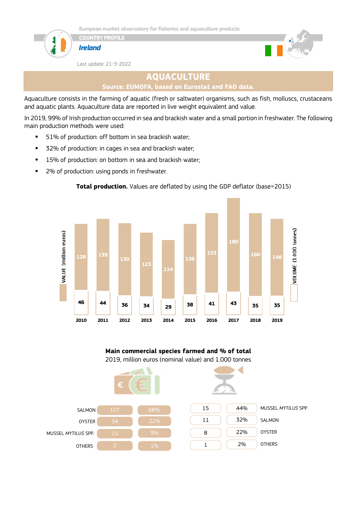







Last update: 21-3-2022

### **AQUACULTURE**

```
Source: EUMOFA, based on Eurostat and FAO data.
```
Aquaculture consists in the farming of aquatic (fresh or saltwater) organisms, such as fish, molluscs, crustaceans and aquatic plants. Aquaculture data are reported in live weight equivalent and value.

In 2019, 99% of Irish production occurred in sea and brackish water and a small portion in freshwater. The following main production methods were used:

- 51% of production: off bottom in sea brackish water;
- 32% of production: in cages in sea and brackish water;
- 15% of production: on bottom in sea and brackish water;
- 2% of production: using ponds in freshwater.



#### **Total production.** Values are deflated by using the GDP deflator (base=2015)



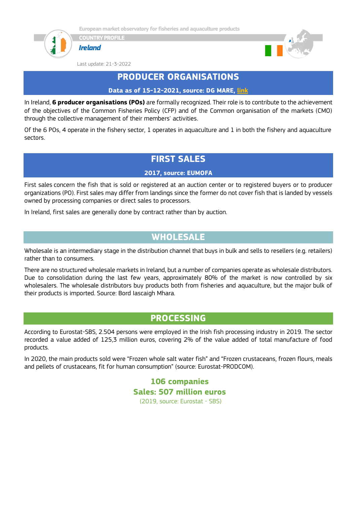





Last update: 21-3-2022



### **PRODUCER ORGANISATIONS**

**Data as of 15-12-2021, source: DG MARE, [link](https://ec.europa.eu/fisheries/sites/fisheries/files/list-of-recognised-producer-organisations-and-associations-of-producer-organisations.pdf)**

In Ireland, **6 producer organisations (POs)** are formally recognized. Their role is to contribute to the achievement of the objectives of the Common Fisheries Policy (CFP) and of the Common organisation of the markets (CMO) through the collective management of their members' activities.

Of the 6 POs, 4 operate in the fishery sector, 1 operates in aquaculture and 1 in both the fishery and aquaculture sectors.

# **FIRST SALES**

#### **2017, source: EUMOFA**

First sales concern the fish that is sold or registered at an auction center or to registered buyers or to producer organizations (PO). First sales may differ from landings since the former do not cover fish that is landed by vessels owned by processing companies or direct sales to processors.

In Ireland, first sales are generally done by contract rather than by auction.

### **WHOLESALE**

Wholesale is an intermediary stage in the distribution channel that buys in bulk and sells to resellers (e.g. retailers) rather than to consumers.

There are no structured wholesale markets in Ireland, but a number of companies operate as wholesale distributors. Due to consolidation during the last few years, approximately 80% of the market is now controlled by six wholesalers. The wholesale distributors buy products both from fisheries and aquaculture, but the major bulk of their products is imported. Source: Bord Iascaigh Mhara.

### **PROCESSING**

According to Eurostat-SBS, 2.504 persons were employed in the Irish fish processing industry in 2019. The sector recorded a value added of 125,3 million euros, covering 2% of the value added of total manufacture of food products.

In 2020, the main products sold were "Frozen whole salt water fish" and "Frozen crustaceans, frozen flours, meals and pellets of crustaceans, fit for human consumption" (source: Eurostat-PRODCOM).

> **106 companies Sales: 507 million euros** (2019, source: Eurostat - SBS)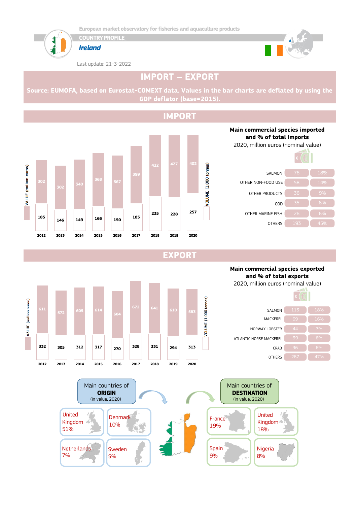

7%

5%



Last update: 21-3-2022



# **IMPORT – EXPORT**

**Source: EUMOFA, based on Eurostat-COMEXT data. Values in the bar charts are deflated by using the GDP deflator (base=2015).**





**EXPORT**



9%

8%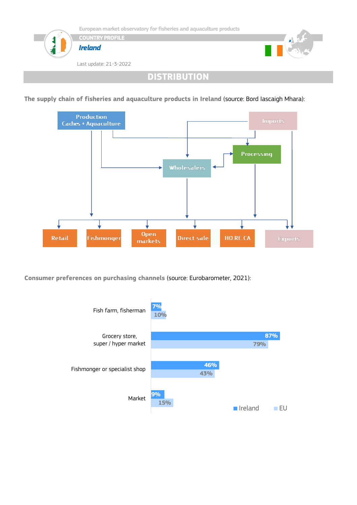

**DISTRIBUTION**

**The supply chain of fisheries and aquaculture products in Ireland** (source: Bord Iascaigh Mhara):



**Consumer preferences on purchasing channels** (source: Eurobarometer, 2021):

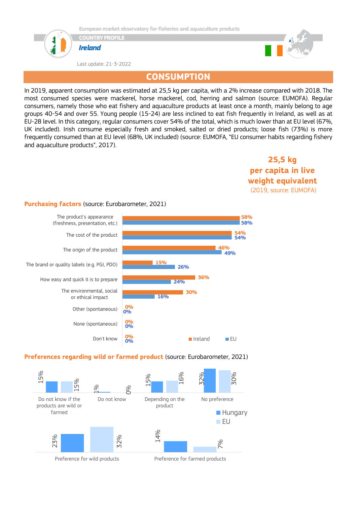

**COUNTRY PROFILE**



Last update: 21-3-2022



### **CONSUMPTION**

In 2019, apparent consumption was estimated at 25,5 kg per capita, with a 2% increase compared with 2018. The most consumed species were mackerel, horse mackerel, cod, herring and salmon (source: EUMOFA). Regular consumers, namely those who eat fishery and aquaculture products at least once a month, mainly belong to age groups 40-54 and over 55. Young people (15-24) are less inclined to eat fish frequently in Ireland, as well as at EU-28 level. In this category, regular consumers cover 54% of the total, which is much lower than at EU level (67%, UK included). Irish consume especially fresh and smoked, salted or dried products; loose fish (73%) is more frequently consumed than at EU level (68%, UK included) (source: EUMOFA, "EU consumer habits regarding fishery and aquaculture products", 2017).

> **25,5 kg per capita in live weight equivalent** (2019, source: EUMOFA)

#### **Purchasing factors** (source: Eurobarometer, 2021)



#### **Preferences regarding wild or farmed product** (source: Eurobarometer, 2021)



Preference for wild products Preference for farmed products